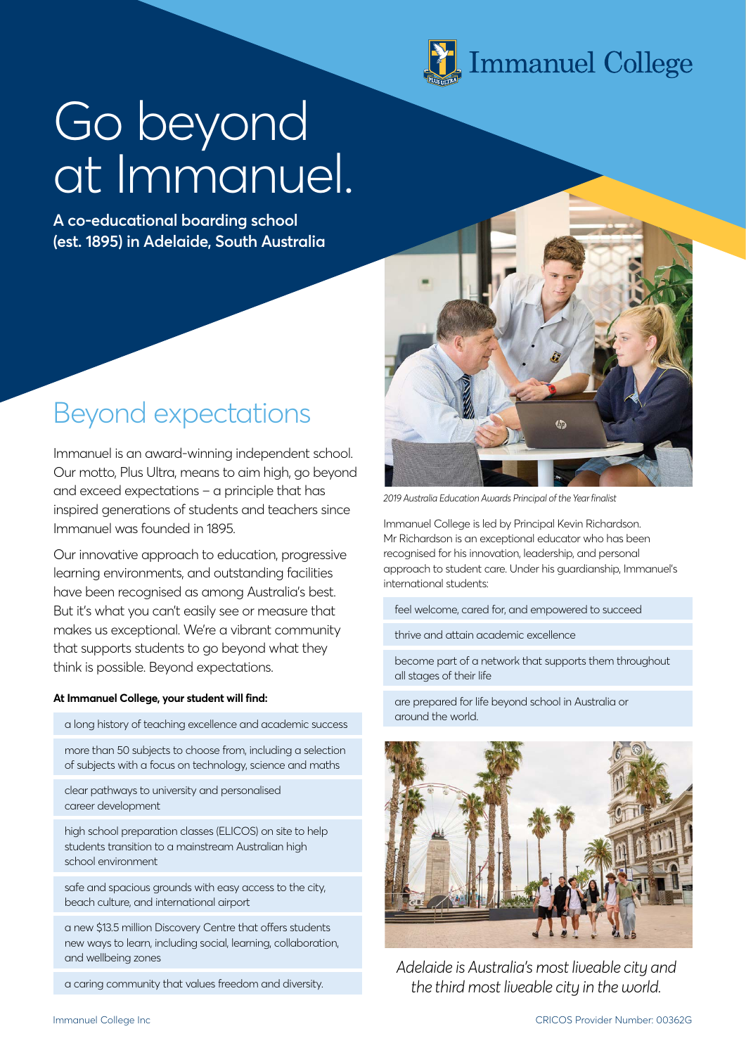

# Go beyond at Immanuel.

**A co-educational boarding school (est. 1895) in Adelaide, South Australia**

#### Beyond expectations

Immanuel is an award-winning independent school. Our motto, Plus Ultra, means to aim high, go beyond and exceed expectations – a principle that has inspired generations of students and teachers since Immanuel was founded in 1895.

Our innovative approach to education, progressive learning environments, and outstanding facilities have been recognised as among Australia's best. But it's what you can't easily see or measure that makes us exceptional. We're a vibrant community that supports students to go beyond what they think is possible. Beyond expectations.

#### **At Immanuel College, your student will find:**

a long history of teaching excellence and academic success

more than 50 subjects to choose from, including a selection of subjects with a focus on technology, science and maths

clear pathways to university and personalised career development

high school preparation classes (ELICOS) on site to help students transition to a mainstream Australian high school environment

safe and spacious grounds with easy access to the city, beach culture, and international airport

a new \$13.5 million Discovery Centre that offers students new ways to learn, including social, learning, collaboration, and wellbeing zones

a caring community that values freedom and diversity.



*2019 Australia Education Awards Principal of the Year finalist*

Immanuel College is led by Principal Kevin Richardson. Mr Richardson is an exceptional educator who has been recognised for his innovation, leadership, and personal approach to student care. Under his guardianship, Immanuel's international students:

feel welcome, cared for, and empowered to succeed

thrive and attain academic excellence

become part of a network that supports them throughout all stages of their life

are prepared for life beyond school in Australia or around the world.



*Adelaide is Australia's most liveable city and the third most liveable city in the world.*